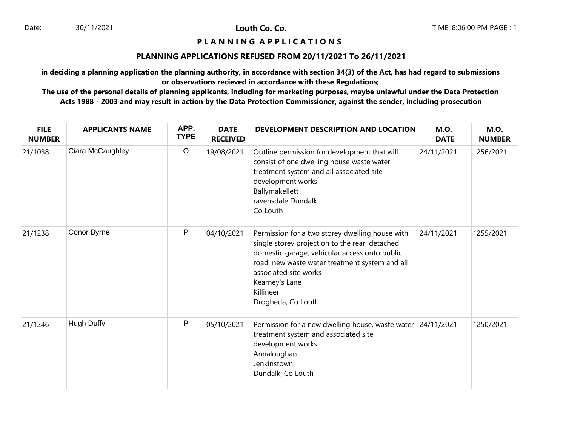# **P L A N N I N G A P P L I C A T I O N S**

#### **PLANNING APPLICATIONS REFUSED FROM 20/11/2021 To 26/11/2021**

**in deciding a planning application the planning authority, in accordance with section 34(3) of the Act, has had regard to submissions or observations recieved in accordance with these Regulations;**

| <b>FILE</b><br><b>NUMBER</b> | <b>APPLICANTS NAME</b> | APP.<br><b>TYPE</b> | <b>DATE</b><br><b>RECEIVED</b> | DEVELOPMENT DESCRIPTION AND LOCATION                                                                                                                                                                                                                                               | <b>M.O.</b><br><b>DATE</b> | <b>M.O.</b><br><b>NUMBER</b> |
|------------------------------|------------------------|---------------------|--------------------------------|------------------------------------------------------------------------------------------------------------------------------------------------------------------------------------------------------------------------------------------------------------------------------------|----------------------------|------------------------------|
| 21/1038                      | Ciara McCaughley       | $\mathsf O$         | 19/08/2021                     | Outline permission for development that will<br>consist of one dwelling house waste water<br>treatment system and all associated site<br>development works<br>Ballymakellett<br>ravensdale Dundalk<br>Co Louth                                                                     | 24/11/2021                 | 1256/2021                    |
| 21/1238                      | Conor Byrne            | P                   | 04/10/2021                     | Permission for a two storey dwelling house with<br>single storey projection to the rear, detached<br>domestic garage, vehicular access onto public<br>road, new waste water treatment system and all<br>associated site works<br>Kearney's Lane<br>Killineer<br>Drogheda, Co Louth | 24/11/2021                 | 1255/2021                    |
| 21/1246                      | <b>Hugh Duffy</b>      | P                   | 05/10/2021                     | Permission for a new dwelling house, waste water 24/11/2021<br>treatment system and associated site<br>development works<br>Annaloughan<br>Jenkinstown<br>Dundalk, Co Louth                                                                                                        |                            | 1250/2021                    |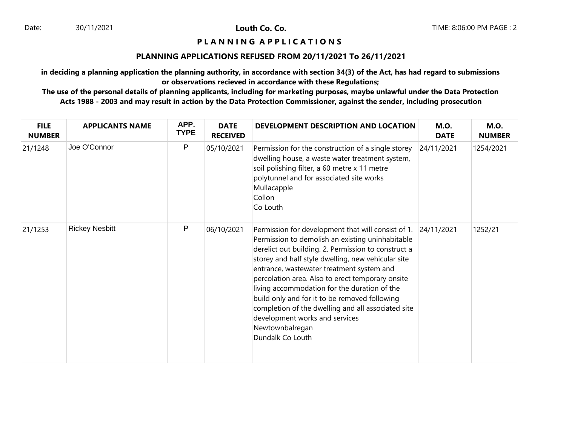### **P L A N N I N G A P P L I C A T I O N S**

#### **PLANNING APPLICATIONS REFUSED FROM 20/11/2021 To 26/11/2021**

**in deciding a planning application the planning authority, in accordance with section 34(3) of the Act, has had regard to submissions or observations recieved in accordance with these Regulations;**

| <b>FILE</b><br><b>NUMBER</b> | <b>APPLICANTS NAME</b> | APP.<br><b>TYPE</b> | <b>DATE</b><br><b>RECEIVED</b> | DEVELOPMENT DESCRIPTION AND LOCATION                                                                                                                                                                                                                                                                                                                                                                                                                                                                                                                 | <b>M.O.</b><br><b>DATE</b> | <b>M.O.</b><br><b>NUMBER</b> |
|------------------------------|------------------------|---------------------|--------------------------------|------------------------------------------------------------------------------------------------------------------------------------------------------------------------------------------------------------------------------------------------------------------------------------------------------------------------------------------------------------------------------------------------------------------------------------------------------------------------------------------------------------------------------------------------------|----------------------------|------------------------------|
| 21/1248                      | Joe O'Connor           | P                   | 05/10/2021                     | Permission for the construction of a single storey<br>dwelling house, a waste water treatment system,<br>soil polishing filter, a 60 metre x 11 metre<br>polytunnel and for associated site works<br>Mullacapple<br>Collon<br>Co Louth                                                                                                                                                                                                                                                                                                               | 24/11/2021                 | 1254/2021                    |
| 21/1253                      | <b>Rickey Nesbitt</b>  | P                   | 06/10/2021                     | Permission for development that will consist of 1.<br>Permission to demolish an existing uninhabitable<br>derelict out building. 2. Permission to construct a<br>storey and half style dwelling, new vehicular site<br>entrance, wastewater treatment system and<br>percolation area. Also to erect temporary onsite<br>living accommodation for the duration of the<br>build only and for it to be removed following<br>completion of the dwelling and all associated site<br>development works and services<br>Newtownbalregan<br>Dundalk Co Louth | 24/11/2021                 | 1252/21                      |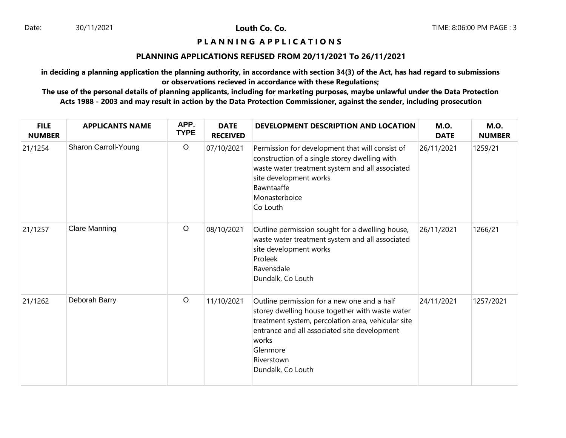## **P L A N N I N G A P P L I C A T I O N S**

#### **PLANNING APPLICATIONS REFUSED FROM 20/11/2021 To 26/11/2021**

**in deciding a planning application the planning authority, in accordance with section 34(3) of the Act, has had regard to submissions or observations recieved in accordance with these Regulations;**

| <b>FILE</b><br><b>NUMBER</b> | <b>APPLICANTS NAME</b> | APP.<br><b>TYPE</b> | <b>DATE</b><br><b>RECEIVED</b> | <b>DEVELOPMENT DESCRIPTION AND LOCATION</b>                                                                                                                                                                                                                  | <b>M.O.</b><br><b>DATE</b> | <b>M.O.</b><br><b>NUMBER</b> |
|------------------------------|------------------------|---------------------|--------------------------------|--------------------------------------------------------------------------------------------------------------------------------------------------------------------------------------------------------------------------------------------------------------|----------------------------|------------------------------|
| 21/1254                      | Sharon Carroll-Young   | $\circ$             | 07/10/2021                     | Permission for development that will consist of<br>construction of a single storey dwelling with<br>waste water treatment system and all associated<br>site development works<br>Bawntaaffe<br>Monasterboice<br>Co Louth                                     | 26/11/2021                 | 1259/21                      |
| 21/1257                      | <b>Clare Manning</b>   | $\circ$             | 08/10/2021                     | Outline permission sought for a dwelling house,<br>waste water treatment system and all associated<br>site development works<br>Proleek<br>Ravensdale<br>Dundalk, Co Louth                                                                                   | 26/11/2021                 | 1266/21                      |
| 21/1262                      | Deborah Barry          | $\circ$             | 11/10/2021                     | Outline permission for a new one and a half<br>storey dwelling house together with waste water<br>treatment system, percolation area, vehicular site<br>entrance and all associated site development<br>works<br>Glenmore<br>Riverstown<br>Dundalk, Co Louth | 24/11/2021                 | 1257/2021                    |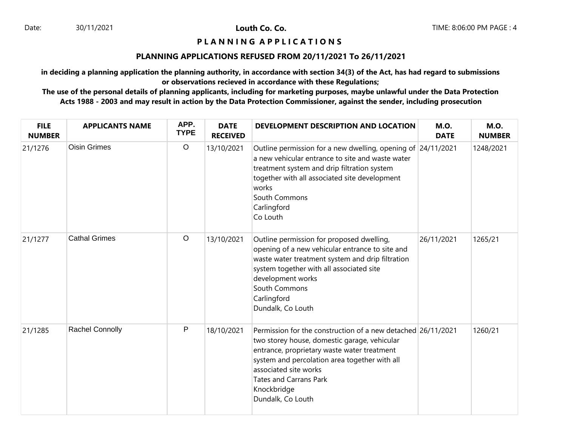## **P L A N N I N G A P P L I C A T I O N S**

#### **PLANNING APPLICATIONS REFUSED FROM 20/11/2021 To 26/11/2021**

**in deciding a planning application the planning authority, in accordance with section 34(3) of the Act, has had regard to submissions or observations recieved in accordance with these Regulations;**

| <b>FILE</b><br><b>NUMBER</b> | <b>APPLICANTS NAME</b> | APP.<br><b>TYPE</b> | <b>DATE</b><br><b>RECEIVED</b> | DEVELOPMENT DESCRIPTION AND LOCATION                                                                                                                                                                                                                                                                       | <b>M.O.</b><br><b>DATE</b> | <b>M.O.</b><br><b>NUMBER</b> |
|------------------------------|------------------------|---------------------|--------------------------------|------------------------------------------------------------------------------------------------------------------------------------------------------------------------------------------------------------------------------------------------------------------------------------------------------------|----------------------------|------------------------------|
| 21/1276                      | <b>Oisin Grimes</b>    | $\circ$             | 13/10/2021                     | Outline permission for a new dwelling, opening of 24/11/2021<br>a new vehicular entrance to site and waste water<br>treatment system and drip filtration system<br>together with all associated site development<br>works<br>South Commons<br>Carlingford<br>Co Louth                                      |                            | 1248/2021                    |
| 21/1277                      | <b>Cathal Grimes</b>   | $\circ$             | 13/10/2021                     | Outline permission for proposed dwelling,<br>opening of a new vehicular entrance to site and<br>waste water treatment system and drip filtration<br>system together with all associated site<br>development works<br>South Commons<br>Carlingford<br>Dundalk, Co Louth                                     | 26/11/2021                 | 1265/21                      |
| 21/1285                      | Rachel Connolly        | $\mathsf{P}$        | 18/10/2021                     | Permission for the construction of a new detached 26/11/2021<br>two storey house, domestic garage, vehicular<br>entrance, proprietary waste water treatment<br>system and percolation area together with all<br>associated site works<br><b>Tates and Carrans Park</b><br>Knockbridge<br>Dundalk, Co Louth |                            | 1260/21                      |